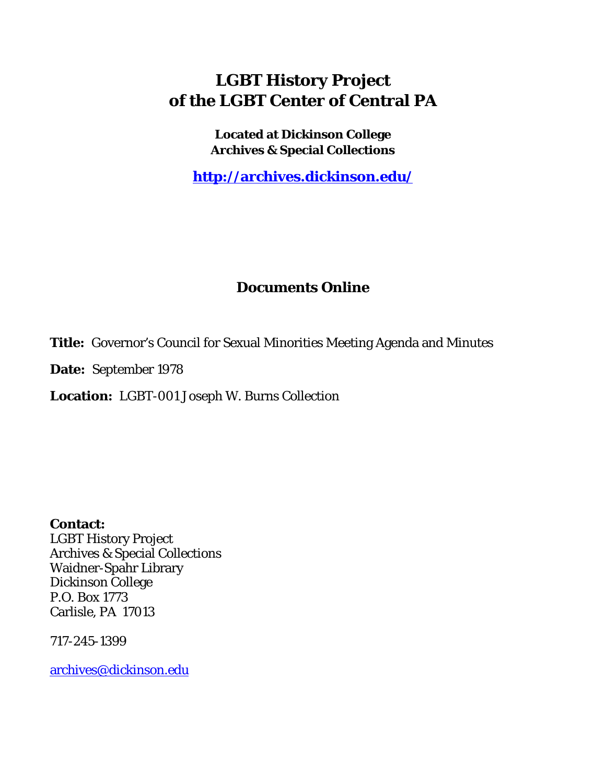# **LGBT History Project of the LGBT Center of Central PA**

**Located at Dickinson College Archives & Special Collections**

**<http://archives.dickinson.edu/>**

## **Documents Online**

**Title:** Governor's Council for Sexual Minorities Meeting Agenda and Minutes

**Date:** September 1978

**Location:** LGBT-001 Joseph W. Burns Collection

**Contact:**  LGBT History Project Archives & Special Collections Waidner-Spahr Library Dickinson College P.O. Box 1773 Carlisle, PA 17013

717-245-1399

[archives@dickinson.edu](mailto:archives@dickinson.edu)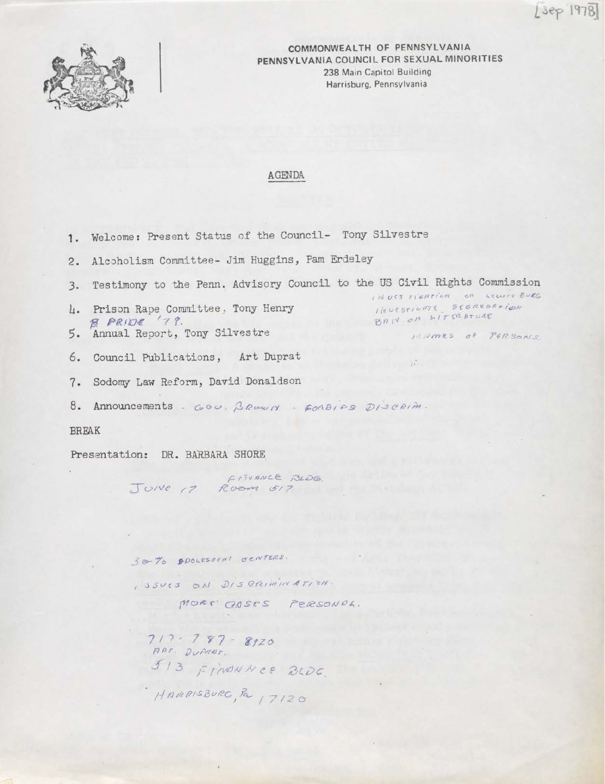$[3ep 1978]$ 



COMMONWEALTH OF PENNSYLVANIA PENNSYLVANIA COUNCIL FOR SEXUAL MINORITIES 238 Main Capitol Building Harrisburg, Pennsylvania

4.000

#### AGENDA

|                                 | 1. Welcome: Present Status of the Council- Tony Silvestre                    |                                              |
|---------------------------------|------------------------------------------------------------------------------|----------------------------------------------|
|                                 | 2. Alcoholism Committee- Jim Huggins, Pam Erdeley                            |                                              |
|                                 | 3. Testimony to the Penn. Advisory Council to the US Civil Rights Commission | INVESTIGATION OF LEWIS BURG                  |
|                                 | 4. Prison Rape Committee, Tony Henry<br>$BPRIDE$ (79.                        | INVESTIGATE SEGREGATION<br>BAN ON LITTRATURE |
|                                 | 5. Annual Report, Tony Silvestre                                             | HIMMES OF PERSONS                            |
|                                 | 6. Council Publications, Art Duprat                                          | $\mathbb{R}^n$                               |
|                                 | 7. Sodomy Law Reform, David Donaldson                                        |                                              |
|                                 | 8. Announcements. GOU. BROWLY - FORBIPS DISCRIM.                             |                                              |
| <b>BREAK</b>                    |                                                                              |                                              |
| Presentation: DR. BARBARA SHORE |                                                                              |                                              |

 $F1JUMVCE$   $BLDG$ JUNE 17 ROOM 517

30-70 PROLESSENT CENTERS. I SSUES ON DISCRIMINATION. MORE CASES PERSONAL.  $717 - 787 - 8920$ <br>ART. DUPRET.<br> $513$  FINONNCE BLDG. HARRISBURG, Pa 17120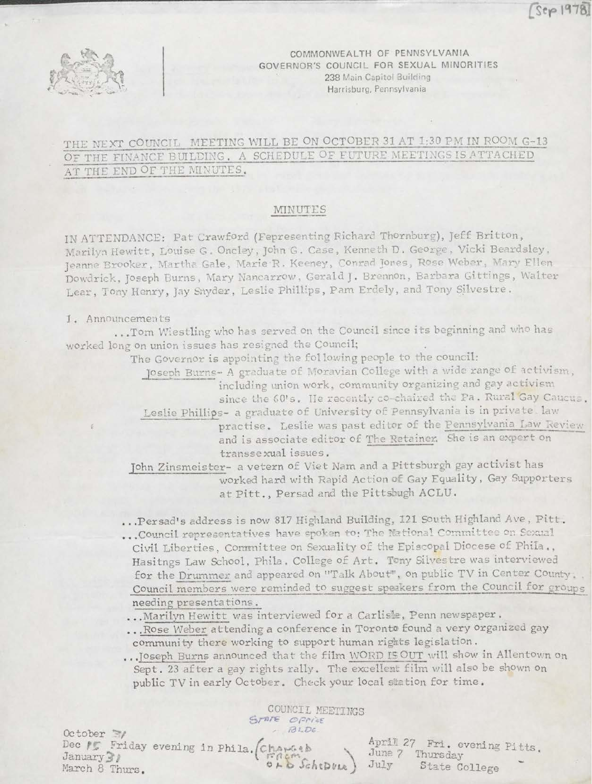$Step 1978$ 



COMMONWEALTH OF PENNSYLVANIA GOVERNOR'S COUNCIL FOR SEXUAL MINORITIES 238 Main Capitol Building Harrisburg, Pennsylvania

### THE NEXT COUNCIL MEETING WILL BE ON OCTOBER 31 AT 1:30 PM IN ROOM G-13 OF THE FINANCE BUILDING. A SCHEDULE OF FUTURE MEETINGS IS ATTACHED AT THE END OF THE MINUTES.

#### MINUTES

in ATTENDANCE: Pat Crawford (Fepresenting Richard Thornburg), Jeff Britton, Marilyn Hewitt, Louise G. Oncley, John G. Case, Kenneth D. George, Vicki Beardsley, Jeanne Brooker, Martha Gale, Marie R. Keeney, Conrad Jones, Rose Weber, Mary Ellen Dowdrick, Joseph Burns, Mary Nancarrow, Gerald <sup>J</sup> . Brennon, Barbara Gi things, Walter Lear, Tony Henry, Jay Snyder, Leslie Phillips, Pam Erdely, and Tony Silvestre.

#### 1. Announcements

.. .Tom Wiestling who has served on the Council since its beginning and who has worked long on union issues has resigned the Council;

The Governor is appointing the following people to the council:

Joseph Burns- <sup>A</sup> graduate of Moravian College with a wide range of activism, including union work, community organizing and gay activism

since the 60's. He recently co-chaired the Pa. Rural Gay Caucus.

Leslie Phillips- a graduate of University of Pennsylvania is in private law practise. Leslie was past editor of the Pennsylvania Law Review and is associate editor of The Retainer. She is an expert on transsexual issues.

John Zinsmeister- a vetern of Viet Nam and a Pittsburgh gay activist has worked hard with Rapid Action of Gay Equality, Gay Supporters at Pitt., Persad and the Pittsbugh ACLU.

. . .Persad's address is now <sup>817</sup> Highland Building, <sup>121</sup> South Highland Ave, Pitt .

- ... Council representatives have spoken to: The National Committee on Sexual Civil Liberties, Committee on Sexuality of the Episcopal Diocese of Phila ., Hasitngs Law School, Phila . College of Art. Tony Silvestre was interviewed for the Drummer and appeared on "Talk About", on public TV in Center County. Council members were reminded to suggest speakers from the Council for groups needing presentations.
- . . .Marilyn Hewitt was interviewed for a Carlisle, Penn newspaper .
- ... Rose Weber attending a conference in Toronto found a very organized gay community' there working to support human rights legislation.

. . .Joseph Burns announced that the film WORD IS OUT will show in Allentown on Sept. <sup>23</sup> after a gay rights rally. The excellent film will also be shown on public TV in early October. Check your local station for time .

 $October$   $\gamma$ Dec #5 January<sup>3</sup> March 8 Thurs, Friday evening in Phila. COUNCIL MEETINGS *, f3 i~Oc* April 27 Fri. evening Pitts<br>*June* 7 Thursday June 7 Thursday<br>C Schepvus ) July State College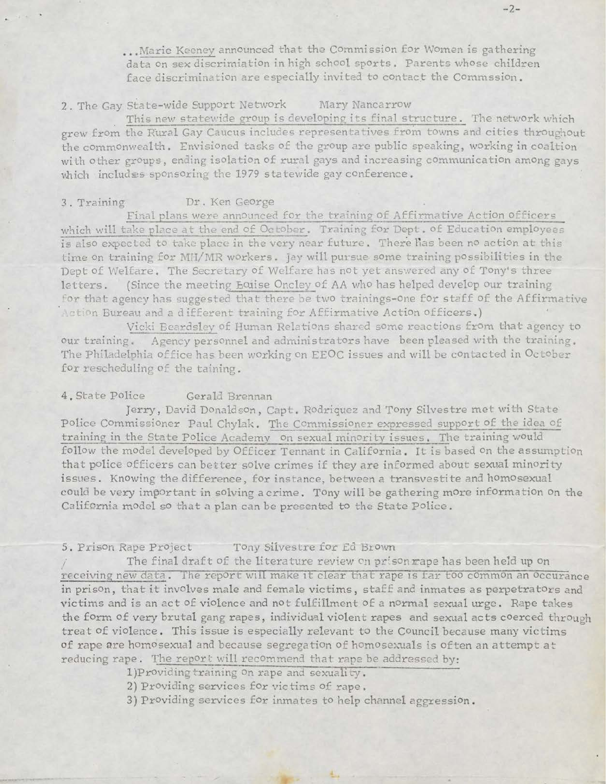... Marie Keeney announced that the Commission for Women is gathering data on sex discrimiation in high school sports . Parents whose children face discrimination are especially invited to contact the Commssion.

### 2. The Gay State-wide Support Network Mary Nancarrow

This new statewide group is developing its final structure. The network which grew from the Rural Gay Caucus includes representatives from towns and cities throughout the commonwealth. Envisioned tasks of the group are public speaking, working in coaltion with other groups, ending isolation of rural gays and increasing communication among gays which includes sponsoring the 1979 statewide gay conference.

#### 3 . Training Dr . Ken George

Final plans were announced for the training of Affirmative Action officers which will take place at the end of October. Training for Dept. of Education employees is also expected to take place in the very near future. There lias been no action at this time on training for MH/MR workers. Jay will pursue some training possibilities in the Dept of Welfare. The Secretary of Welfare has not yet answered any of Tony's three letters. (Since the meeting Equise Oncley of AA who has helped develop our training for that agency has suggested that there be two trainings-one for staff of the Affirmative Action Bureau and a different training for Affirmative Action officers,)

Vicki Beardsley of Human Relations shared some reactions from that agency to our training. Agency personnel and administrators have been pleased with the training. The Philadelphia office has been working on EEOC issues and will be contacted in October for rescheduling of the taining.

#### 4. State Police Gerald Brennan

Jerry, David Donaldson, Capt. Rodriquez and Tony Silvestre met with State Police Commissioner Paul Chylak. The Commissioner expressed support of the idea of training in the State Police Academy on sexual minority issues. The training would follow the model developed by Officer Tennant in California. It is based on the assumption that police officers can better solve crimes if they are informed about sexual minority issues. Knowing the difference, for instance, between a transvestite and homosexual could be very important in solving a crime. Tony will be gathering more information on the California model so that a plan can be presented to the State Police.

#### 5. Prison Rape Project Tony Silvestre for Ed Brown

The final draft of the literature review on prison rape has been held up on receiving new data. The report will make it clear that rape is far too common an occurance in prison, that it involves male and female victims, staff and inmates as perpetrators and victims and is an act of violence and not fulfillment of a normal sexual urge. Rape takes the form of very brutal gang rapes, individual violent rapes and sexual acts coerced through treat of violence . This issue is especially relevant to the Council because many victims of rape are homosexual and because segregation of homosexuals is often an attempt at reducing rape. The report will recommen<sup>d</sup> that rape be addressed by:

1) Providing training on rape and sexuality.

2) Providing services for victims of rape .

3) Providing services for inmates to help channel aggression.